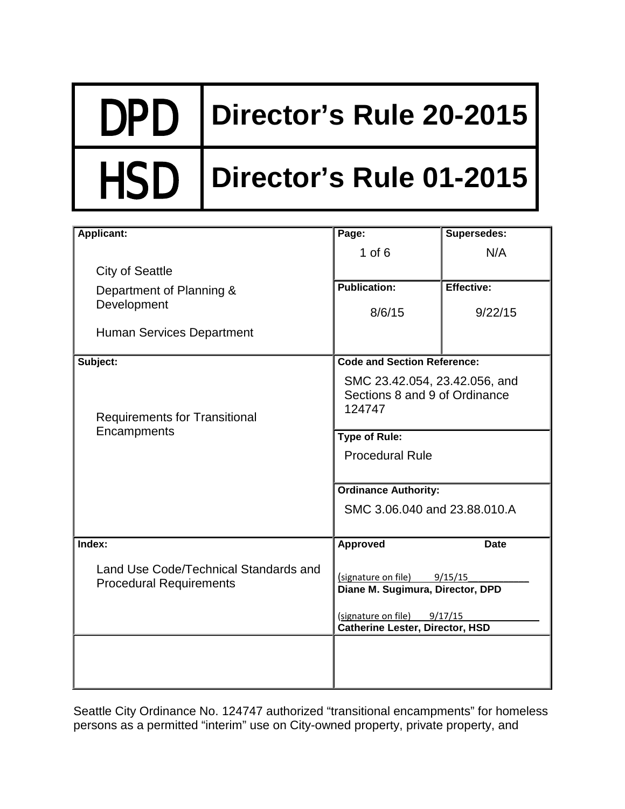# DPD **Director's Rule 20-2015**

# HSD **Director's Rule 01-2015**

| <b>Applicant:</b>                                                       | Page:                                                                                                                                       | Supersedes: |
|-------------------------------------------------------------------------|---------------------------------------------------------------------------------------------------------------------------------------------|-------------|
|                                                                         | $1$ of $6$                                                                                                                                  | N/A         |
| <b>City of Seattle</b>                                                  |                                                                                                                                             |             |
| Department of Planning &                                                | <b>Publication:</b>                                                                                                                         | Effective:  |
| Development                                                             | 8/6/15                                                                                                                                      | 9/22/15     |
| <b>Human Services Department</b>                                        |                                                                                                                                             |             |
| Subject:                                                                | <b>Code and Section Reference:</b>                                                                                                          |             |
| <b>Requirements for Transitional</b><br>Encampments                     | SMC 23.42.054, 23.42.056, and<br>Sections 8 and 9 of Ordinance<br>124747                                                                    |             |
|                                                                         | <b>Type of Rule:</b>                                                                                                                        |             |
|                                                                         | <b>Procedural Rule</b>                                                                                                                      |             |
|                                                                         | <b>Ordinance Authority:</b>                                                                                                                 |             |
|                                                                         | SMC 3.06.040 and 23.88.010.A                                                                                                                |             |
| Index:                                                                  | Approved                                                                                                                                    | <b>Date</b> |
| Land Use Code/Technical Standards and<br><b>Procedural Requirements</b> | (signature on file) 9/15/15<br>Diane M. Sugimura, Director, DPD<br>(signature on file)<br>9/17/15<br><b>Catherine Lester, Director, HSD</b> |             |
|                                                                         |                                                                                                                                             |             |

Seattle City Ordinance No. 124747 authorized "transitional encampments" for homeless persons as a permitted "interim" use on City-owned property, private property, and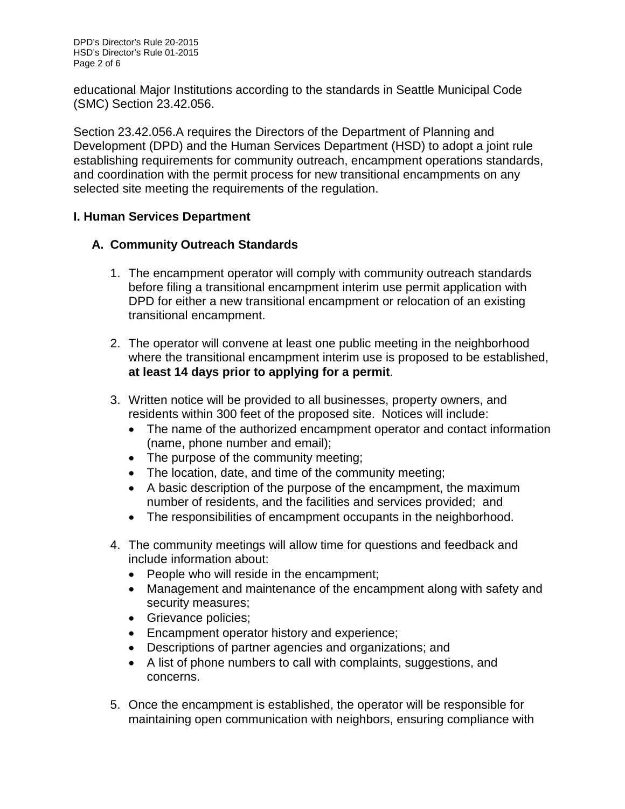educational Major Institutions according to the standards in Seattle Municipal Code (SMC) Section 23.42.056.

Section 23.42.056.A requires the Directors of the Department of Planning and Development (DPD) and the Human Services Department (HSD) to adopt a joint rule establishing requirements for community outreach, encampment operations standards, and coordination with the permit process for new transitional encampments on any selected site meeting the requirements of the regulation.

#### **I. Human Services Department**

## **A. Community Outreach Standards**

- 1. The encampment operator will comply with community outreach standards before filing a transitional encampment interim use permit application with DPD for either a new transitional encampment or relocation of an existing transitional encampment.
- 2. The operator will convene at least one public meeting in the neighborhood where the transitional encampment interim use is proposed to be established, **at least 14 days prior to applying for a permit**.
- 3. Written notice will be provided to all businesses, property owners, and residents within 300 feet of the proposed site. Notices will include:
	- The name of the authorized encampment operator and contact information (name, phone number and email);
	- The purpose of the community meeting;
	- The location, date, and time of the community meeting;
	- A basic description of the purpose of the encampment, the maximum number of residents, and the facilities and services provided; and
	- The responsibilities of encampment occupants in the neighborhood.
- 4. The community meetings will allow time for questions and feedback and include information about:
	- People who will reside in the encampment;
	- Management and maintenance of the encampment along with safety and security measures;
	- Grievance policies;
	- Encampment operator history and experience;
	- Descriptions of partner agencies and organizations; and
	- A list of phone numbers to call with complaints, suggestions, and concerns.
- 5. Once the encampment is established, the operator will be responsible for maintaining open communication with neighbors, ensuring compliance with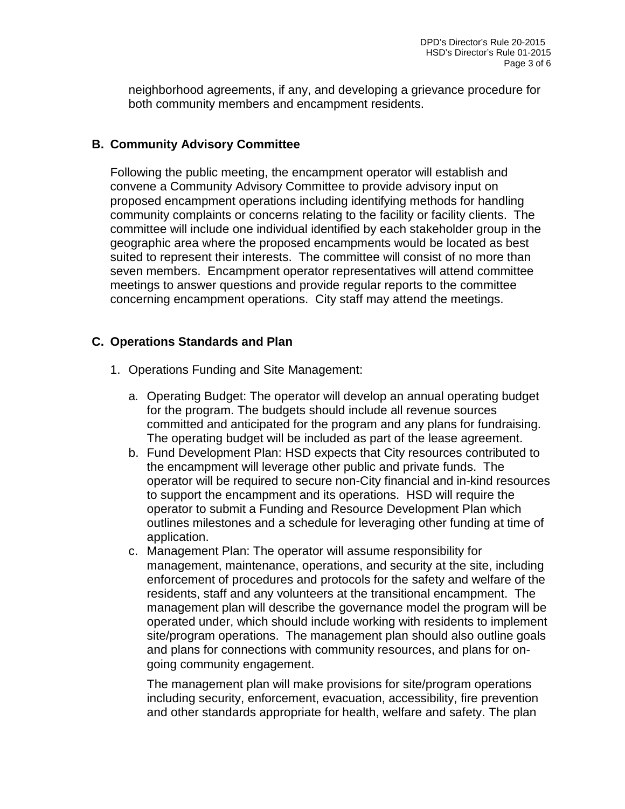neighborhood agreements, if any, and developing a grievance procedure for both community members and encampment residents.

#### **B. Community Advisory Committee**

Following the public meeting, the encampment operator will establish and convene a Community Advisory Committee to provide advisory input on proposed encampment operations including identifying methods for handling community complaints or concerns relating to the facility or facility clients. The committee will include one individual identified by each stakeholder group in the geographic area where the proposed encampments would be located as best suited to represent their interests. The committee will consist of no more than seven members. Encampment operator representatives will attend committee meetings to answer questions and provide regular reports to the committee concerning encampment operations. City staff may attend the meetings.

#### **C. Operations Standards and Plan**

- 1. Operations Funding and Site Management:
	- a*.* Operating Budget: The operator will develop an annual operating budget for the program. The budgets should include all revenue sources committed and anticipated for the program and any plans for fundraising. The operating budget will be included as part of the lease agreement.
	- b. Fund Development Plan: HSD expects that City resources contributed to the encampment will leverage other public and private funds. The operator will be required to secure non-City financial and in-kind resources to support the encampment and its operations. HSD will require the operator to submit a Funding and Resource Development Plan which outlines milestones and a schedule for leveraging other funding at time of application.
	- c. Management Plan: The operator will assume responsibility for management, maintenance, operations, and security at the site, including enforcement of procedures and protocols for the safety and welfare of the residents, staff and any volunteers at the transitional encampment. The management plan will describe the governance model the program will be operated under, which should include working with residents to implement site/program operations. The management plan should also outline goals and plans for connections with community resources, and plans for ongoing community engagement.

The management plan will make provisions for site/program operations including security, enforcement, evacuation, accessibility, fire prevention and other standards appropriate for health, welfare and safety. The plan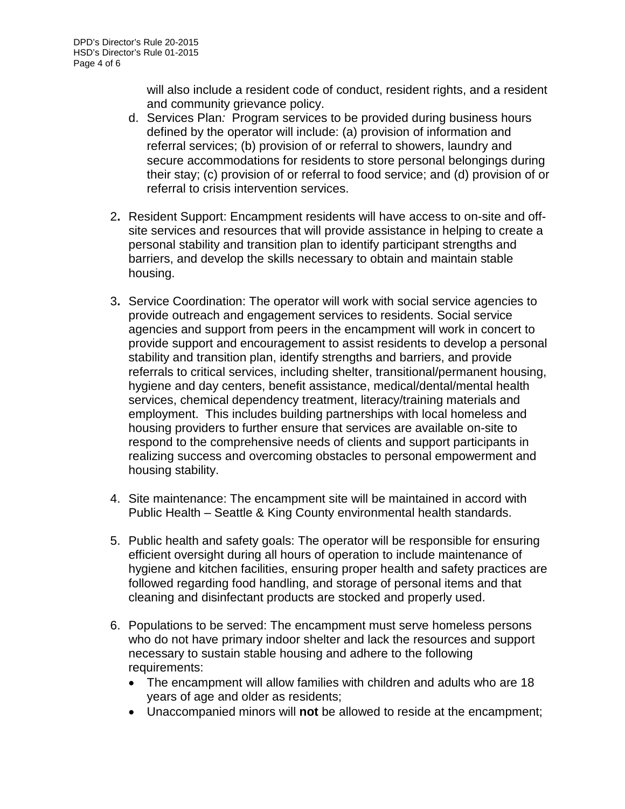will also include a resident code of conduct, resident rights, and a resident and community grievance policy.

- d. Services Plan*:* Program services to be provided during business hours defined by the operator will include: (a) provision of information and referral services; (b) provision of or referral to showers, laundry and secure accommodations for residents to store personal belongings during their stay; (c) provision of or referral to food service; and (d) provision of or referral to crisis intervention services.
- 2**.** Resident Support: Encampment residents will have access to on-site and offsite services and resources that will provide assistance in helping to create a personal stability and transition plan to identify participant strengths and barriers, and develop the skills necessary to obtain and maintain stable housing.
- 3**.** Service Coordination: The operator will work with social service agencies to provide outreach and engagement services to residents. Social service agencies and support from peers in the encampment will work in concert to provide support and encouragement to assist residents to develop a personal stability and transition plan, identify strengths and barriers, and provide referrals to critical services, including shelter, transitional/permanent housing, hygiene and day centers, benefit assistance, medical/dental/mental health services, chemical dependency treatment, literacy/training materials and employment. This includes building partnerships with local homeless and housing providers to further ensure that services are available on-site to respond to the comprehensive needs of clients and support participants in realizing success and overcoming obstacles to personal empowerment and housing stability.
- 4. Site maintenance: The encampment site will be maintained in accord with Public Health – Seattle & King County environmental health standards.
- 5. Public health and safety goals: The operator will be responsible for ensuring efficient oversight during all hours of operation to include maintenance of hygiene and kitchen facilities, ensuring proper health and safety practices are followed regarding food handling, and storage of personal items and that cleaning and disinfectant products are stocked and properly used.
- 6. Populations to be served: The encampment must serve homeless persons who do not have primary indoor shelter and lack the resources and support necessary to sustain stable housing and adhere to the following requirements:
	- The encampment will allow families with children and adults who are 18 years of age and older as residents;
	- Unaccompanied minors will **not** be allowed to reside at the encampment;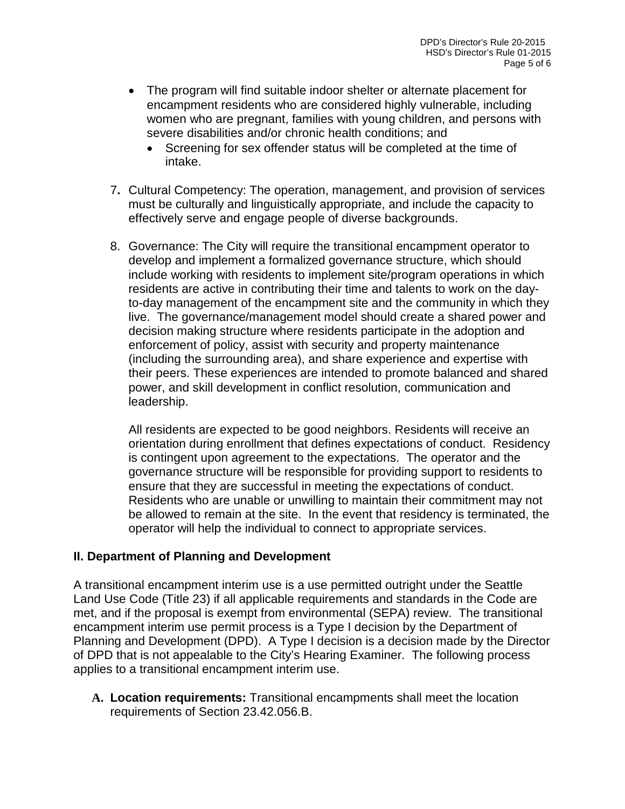- The program will find suitable indoor shelter or alternate placement for encampment residents who are considered highly vulnerable, including women who are pregnant, families with young children, and persons with severe disabilities and/or chronic health conditions; and
	- Screening for sex offender status will be completed at the time of intake.
- 7**.** Cultural Competency: The operation, management, and provision of services must be culturally and linguistically appropriate, and include the capacity to effectively serve and engage people of diverse backgrounds.
- 8. Governance: The City will require the transitional encampment operator to develop and implement a formalized governance structure, which should include working with residents to implement site/program operations in which residents are active in contributing their time and talents to work on the dayto-day management of the encampment site and the community in which they live. The governance/management model should create a shared power and decision making structure where residents participate in the adoption and enforcement of policy, assist with security and property maintenance (including the surrounding area), and share experience and expertise with their peers. These experiences are intended to promote balanced and shared power, and skill development in conflict resolution, communication and leadership.

All residents are expected to be good neighbors. Residents will receive an orientation during enrollment that defines expectations of conduct. Residency is contingent upon agreement to the expectations. The operator and the governance structure will be responsible for providing support to residents to ensure that they are successful in meeting the expectations of conduct. Residents who are unable or unwilling to maintain their commitment may not be allowed to remain at the site. In the event that residency is terminated, the operator will help the individual to connect to appropriate services.

## **II. Department of Planning and Development**

A transitional encampment interim use is a use permitted outright under the Seattle Land Use Code (Title 23) if all applicable requirements and standards in the Code are met, and if the proposal is exempt from environmental (SEPA) review. The transitional encampment interim use permit process is a Type I decision by the Department of Planning and Development (DPD). A Type I decision is a decision made by the Director of DPD that is not appealable to the City's Hearing Examiner. The following process applies to a transitional encampment interim use.

**A. Location requirements:** Transitional encampments shall meet the location requirements of Section 23.42.056.B.